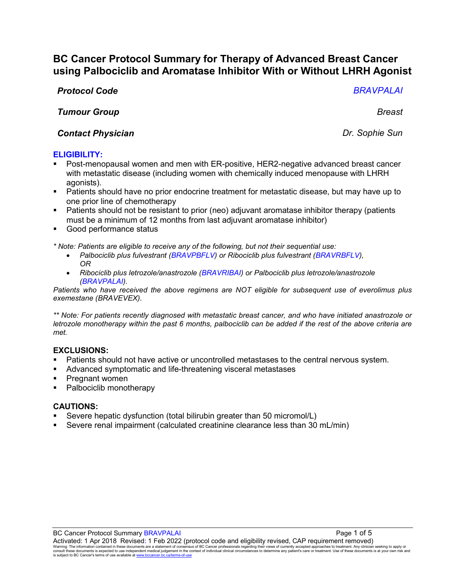# **BC Cancer Protocol Summary for Therapy of Advanced Breast Cancer using Palbociclib and Aromatase Inhibitor With or Without LHRH Agonist**

# *Protocol Code BRAVPALAI*

# *Tumour Group Breast*

# **Contact Physician** *Contact Physician Dr. Sophie Sun*

# **ELIGIBILITY:**

- Post-menopausal women and men with ER-positive, HER2-negative advanced breast cancer with metastatic disease (including women with chemically induced menopause with LHRH agonists).
- Patients should have no prior endocrine treatment for metastatic disease, but may have up to one prior line of chemotherapy
- **Patients should not be resistant to prior (neo) adjuvant aromatase inhibitor therapy (patients** must be a minimum of 12 months from last adjuvant aromatase inhibitor)
- Good performance status

*\* Note: Patients are eligible to receive any of the following, but not their sequential use:*

- *Palbociclib plus fulvestrant (BRAVPBFLV) or Ribociclib plus fulvestrant (BRAVRBFLV), OR*
- *Ribociclib plus letrozole/anastrozole (BRAVRIBAI) or Palbociclib plus letrozole/anastrozole (BRAVPALAI).*

*Patients who have received the above regimens are NOT eligible for subsequent use of everolimus plus exemestane (BRAVEVEX).* 

*\*\* Note: For patients recently diagnosed with metastatic breast cancer, and who have initiated anastrozole or letrozole monotherapy within the past 6 months, palbociclib can be added if the rest of the above criteria are met.* 

## **EXCLUSIONS:**

- Patients should not have active or uncontrolled metastases to the central nervous system.
- Advanced symptomatic and life-threatening visceral metastases
- **Pregnant women**
- Palbociclib monotherapy

## **CAUTIONS:**

- Severe hepatic dysfunction (total bilirubin greater than 50 micromol/L)
- Severe renal impairment (calculated creatinine clearance less than 30 mL/min)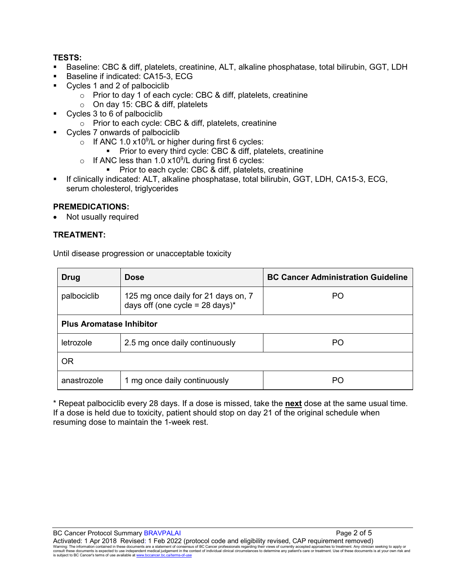# **TESTS:**

- Baseline: CBC & diff, platelets, creatinine, ALT, alkaline phosphatase, total bilirubin, GGT, LDH
- Baseline if indicated: CA15-3, ECG
- Cycles 1 and 2 of palbociclib
	- o Prior to day 1 of each cycle: CBC & diff, platelets, creatinine
	- o On day 15: CBC & diff, platelets
- Cycles 3 to 6 of palbociclib
	- o Prior to each cycle: CBC & diff, platelets, creatinine
- Cycles 7 onwards of palbociclib
	- $\circ$  If ANC 1.0 x10<sup>9</sup>/L or higher during first 6 cycles:
		- **Prior to every third cycle: CBC & diff, platelets, creatinine**
	- $\circ$  If ANC less than 1.0 x10<sup>9</sup>/L during first 6 cycles:
		- Prior to each cycle: CBC & diff, platelets, creatinine
- If clinically indicated: ALT, alkaline phosphatase, total bilirubin, GGT, LDH, CA15-3, ECG, serum cholesterol, triglycerides

## **PREMEDICATIONS:**

• Not usually required

# **TREATMENT:**

Until disease progression or unacceptable toxicity

| <b>Drug</b>                     | <b>Dose</b>                                                                       | <b>BC Cancer Administration Guideline</b> |  |
|---------------------------------|-----------------------------------------------------------------------------------|-------------------------------------------|--|
| palbociclib                     | 125 mg once daily for 21 days on, 7<br>days off (one cycle = $28 \text{ days}$ )* | PO                                        |  |
| <b>Plus Aromatase Inhibitor</b> |                                                                                   |                                           |  |
| letrozole                       | 2.5 mg once daily continuously                                                    | PO                                        |  |
| 0R                              |                                                                                   |                                           |  |
| anastrozole                     | 1 mg once daily continuously                                                      | PО                                        |  |

\* Repeat palbociclib every 28 days. If a dose is missed, take the **next** dose at the same usual time. If a dose is held due to toxicity, patient should stop on day 21 of the original schedule when resuming dose to maintain the 1-week rest.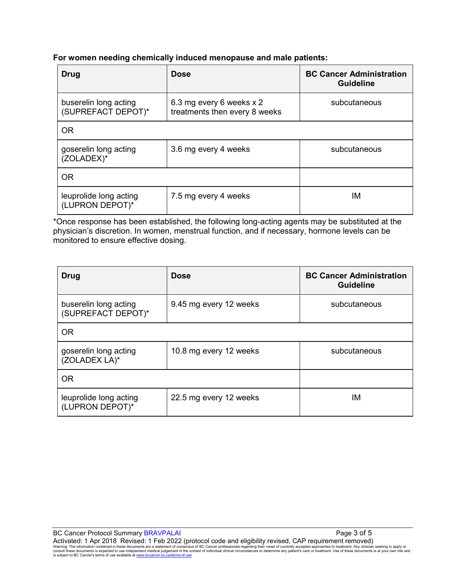## **For women needing chemically induced menopause and male patients:**

| Drug                                        | <b>Dose</b>                                               | <b>BC Cancer Administration</b><br><b>Guideline</b> |
|---------------------------------------------|-----------------------------------------------------------|-----------------------------------------------------|
| buserelin long acting<br>(SUPREFACT DEPOT)* | 6.3 mg every 6 weeks x 2<br>treatments then every 8 weeks | subcutaneous                                        |
| <b>OR</b>                                   |                                                           |                                                     |
| goserelin long acting<br>(ZOLADEX)*         | 3.6 mg every 4 weeks                                      | subcutaneous                                        |
| <b>OR</b>                                   |                                                           |                                                     |
| leuprolide long acting<br>(LUPRON DEPOT)*   | 7.5 mg every 4 weeks                                      | ΙM                                                  |

\*Once response has been established, the following long-acting agents may be substituted at the physician's discretion. In women, menstrual function, and if necessary, hormone levels can be monitored to ensure effective dosing.

| Drug                                        | <b>Dose</b>            | <b>BC Cancer Administration</b><br><b>Guideline</b> |
|---------------------------------------------|------------------------|-----------------------------------------------------|
| buserelin long acting<br>(SUPREFACT DEPOT)* | 9.45 mg every 12 weeks | subcutaneous                                        |
| <b>OR</b>                                   |                        |                                                     |
| goserelin long acting<br>(ZOLADEX LA)*      | 10.8 mg every 12 weeks | subcutaneous                                        |
| <b>OR</b>                                   |                        |                                                     |
| leuprolide long acting<br>(LUPRON DEPOT)*   | 22.5 mg every 12 weeks | ΙM                                                  |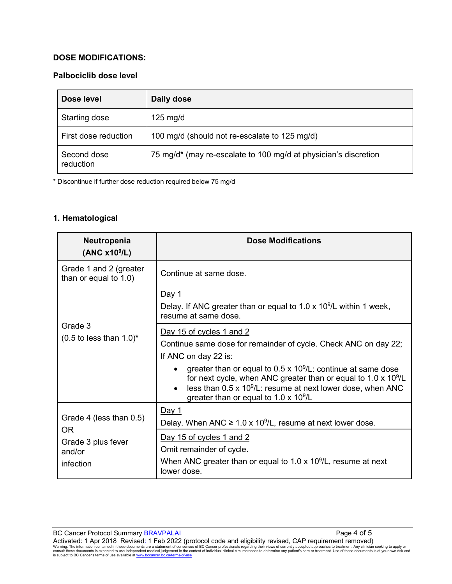# **DOSE MODIFICATIONS:**

# **Palbociclib dose level**

| Dose level               | Daily dose                                                      |
|--------------------------|-----------------------------------------------------------------|
| Starting dose            | $125 \text{ mg/d}$                                              |
| First dose reduction     | 100 mg/d (should not re-escalate to 125 mg/d)                   |
| Second dose<br>reduction | 75 mg/d* (may re-escalate to 100 mg/d at physician's discretion |

\* Discontinue if further dose reduction required below 75 mg/d

# **1. Hematological**

| Neutropenia<br>(ANC x10 <sup>9</sup> /L)                       | <b>Dose Modifications</b>                                                                                                                                                                                                                                                                                                                                                                |
|----------------------------------------------------------------|------------------------------------------------------------------------------------------------------------------------------------------------------------------------------------------------------------------------------------------------------------------------------------------------------------------------------------------------------------------------------------------|
| Grade 1 and 2 (greater<br>than or equal to 1.0)                | Continue at same dose.                                                                                                                                                                                                                                                                                                                                                                   |
|                                                                | Day 1<br>Delay. If ANC greater than or equal to $1.0 \times 10^9$ /L within 1 week,<br>resume at same dose.                                                                                                                                                                                                                                                                              |
| Grade 3<br>$(0.5$ to less than $1.0$ <sup>*</sup>              | Day 15 of cycles 1 and 2<br>Continue same dose for remainder of cycle. Check ANC on day 22;<br>If ANC on day 22 is:<br>greater than or equal to $0.5 \times 10^9$ /L: continue at same dose<br>for next cycle, when ANC greater than or equal to $1.0 \times 10^9$ /L<br>less than $0.5 \times 10^9$ /L: resume at next lower dose, when ANC<br>greater than or equal to 1.0 x $10^9$ /L |
| Grade 4 (less than 0.5)<br>OR.<br>Grade 3 plus fever<br>and/or | <u>Day 1</u><br>Delay. When ANC $\geq 1.0 \times 10^9$ /L, resume at next lower dose.<br>Day 15 of cycles 1 and 2<br>Omit remainder of cycle.                                                                                                                                                                                                                                            |
| infection                                                      | When ANC greater than or equal to 1.0 x $10^9$ /L, resume at next<br>lower dose.                                                                                                                                                                                                                                                                                                         |

BC Cancer Protocol Summary BRAVPALAI Page 4 of 5 Activated: 1 Apr 2018 Revised: 1 Feb 2022 (protocol code and eligibility revised, CAP requirement removed)<br>Warning: The information contained in these documents are a statement of consensus of BC Cancer professionals regar